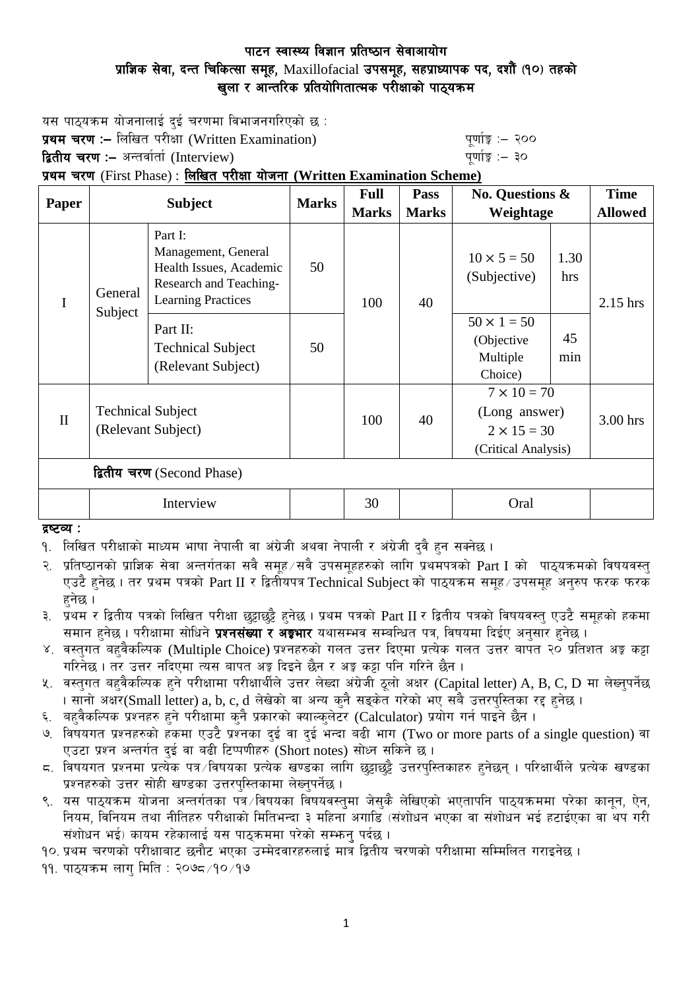## पाटन स्वास्थ्य विज्ञान प्रतिष्ठान सेवाआयोग प्राज्ञिक सेवा, दन्त चिकित्सा समूह, Maxillofacial उपसमूह, सहप्राध्यापक पद, दशौँ (१०) तहको खुला र आन्तरिक प्रतियोगितात्मक परीक्षाको पाठ्यक्रम

यस पाठ्यक्रम योजनालाई दुई चरणमा विभाजनगरिएको छ :

प्रथम चरण :- लिखित परीक्षा (Written Examination) x 200 पुर्णाङ्क :- २०० **द्वितीय चरण :–** अन्तर्वार्ता (Interview) kathary and the set of the set of the set of  $\frac{1}{2}$ 

प्रथम चरण (First Phase) : लिखित परीक्षा योजना (Written Examination Scheme)

|                            | <b>Subject</b>                                 |                                                                                                                  | <b>Marks</b> | <b>Full</b>  | Pass         | No. Questions &                                                                  |             | <b>Time</b>    |
|----------------------------|------------------------------------------------|------------------------------------------------------------------------------------------------------------------|--------------|--------------|--------------|----------------------------------------------------------------------------------|-------------|----------------|
| <b>Paper</b>               |                                                |                                                                                                                  |              | <b>Marks</b> | <b>Marks</b> | Weightage                                                                        |             | <b>Allowed</b> |
|                            | General<br>Subject                             | Part I:<br>Management, General<br>Health Issues, Academic<br>Research and Teaching-<br><b>Learning Practices</b> | 50           | 100          | 40           | $10 \times 5 = 50$<br>(Subjective)                                               | 1.30<br>hrs | $2.15$ hrs     |
|                            |                                                | Part II:<br><b>Technical Subject</b><br>(Relevant Subject)                                                       | 50           |              |              | $50 \times 1 = 50$<br>(Objective)<br>Multiple<br>Choice)                         | 45<br>min   |                |
| $\mathbf{I}$               | <b>Technical Subject</b><br>(Relevant Subject) |                                                                                                                  |              | 100          | 40           | $7 \times 10 = 70$<br>(Long answer)<br>$2 \times 15 = 30$<br>(Critical Analysis) |             | $3.00$ hrs     |
| द्वितीय चरण (Second Phase) |                                                |                                                                                                                  |              |              |              |                                                                                  |             |                |
|                            | Interview                                      |                                                                                                                  |              | 30           |              | Oral                                                                             |             |                |

द्रष्टव्य :

१. लिखित परीक्षाको माध्यम भाषा नेपाली वा अंग्रेजी अथवा नेपाली र अंग्रेजी दवै हन सक्नेछ ।

२. प्रतिष्ठानको प्राज्ञिक सेवा अन्तर्गतका सवै समूह सवै उपसमूहहरुको लागि प्रथमपत्रको  $\text{Part I}$  को पाठ्यक्रमको विषयवस्त् एउटै हुनेछ । तर प्रथम पत्रको Part II र द्वितीयपत्र Technical Subject को पाठ्यक्रम समूह /उपसमूह अनुरुप फरक फरक  $\overline{\mathsf{g}}$ नेछ ।

३. प्रथम र द्वितीय पत्रको लिखित परीक्षा छुट्टाछुट्टै हुनेछ । प्रथम पत्रको Part II र द्वितीय पत्रको विषयवस्तु एउटै समुहको हकमा समान हुनेछ । परीक्षामा सोधिने **प्रश्नसंख्या र अङ्कभार** यथासम्भव सम्बन्धित पत्र, विषयमा दिईए अनुसार हुनेछ ।

- ४. वस्तुगत बहुवैकल्पिक (Multiple Choice) प्रश्नहरुको गलत उत्तर दिएमा प्रत्येक गलत उत्तर बापत २० प्रतिशत अङ्ग कट्टा गरिनेछ । तर उत्तर नदिएमा त्यस बापत अङ्ग दिइने छैन र अङ्ग कट्टा पनि गरिने छैन ।
- ५. वस्तुगत बहुवैकल्पिक हुने परीक्षामा परीक्षार्थीले उत्तर लेख्दा अंग्रेजी ठूलो अक्षर (Capital letter) A, B, C, D मा लेख्नुपर्नेछ । सानो अक्षर(Small letter) a, b, c, d लेखेको वा अन्य कुनै सङ्केत गरेको भए सबै उत्तरपुस्तिका रद्द हुनेछ ।
- ६. बहवैकल्पिक प्रश्नहरु हुने परीक्षामा कनै प्रकारको क्याल्कलेटर (Calculator) प्रयोग गर्न पाइने छैन ।
- ७. विषयगत प्रश्नहरुको हकमा एउटै प्रश्नका दुई वा दुई भन्दा बढी भाग (Two or more parts of a single question) वा एउटा प्रश्न अन्तर्गत दुई वा बढी टिप्पणीहरु (Short notes) सोध्न सकिने छ।
- ८. विषयगत प्रश्नमा प्रत्येक पत्र ∕विषयका प्रत्येक खण्डका लागि छट्टाछट्टै उत्तरप्स्तिकाहरु हनेछन् । परिक्षार्थीले प्रत्येक खण्डका प्रश्नहरुको उत्तर सोही खण्डका उत्तरपुस्तिकामा लेख्नुपर्नेछ ।
- ९. वस पाठ्यक्रम योजना अन्तर्गतका पत्र ∕विषयका विषयवस्तुमा जेसुकै लेखिएको भएतापनि पाठ्यक्रममा परेका कानून, ऐन, नियम, विनियम तथा नीतिहरु परीक्षाको मितिभन्दा ३ महिना अगाडि (संशोधन भएका वा संशोधन भई हटाईएका वा थप गरी संशोधन भई) कायम रहेकालाई यस पाठकममा परेको सम्भन पर्दछ ।
- <u>१</u>०. प्रथम चरणको परीक्षाबाट छनौट भएका उम्मेदवारहरुलाई मात्र द्वितीय चरणको परीक्षामा सम्मिलित गराइनेछ ।

 $99.$  पाठयक्रम लाग मिति : २०७८ $/90/9$ ७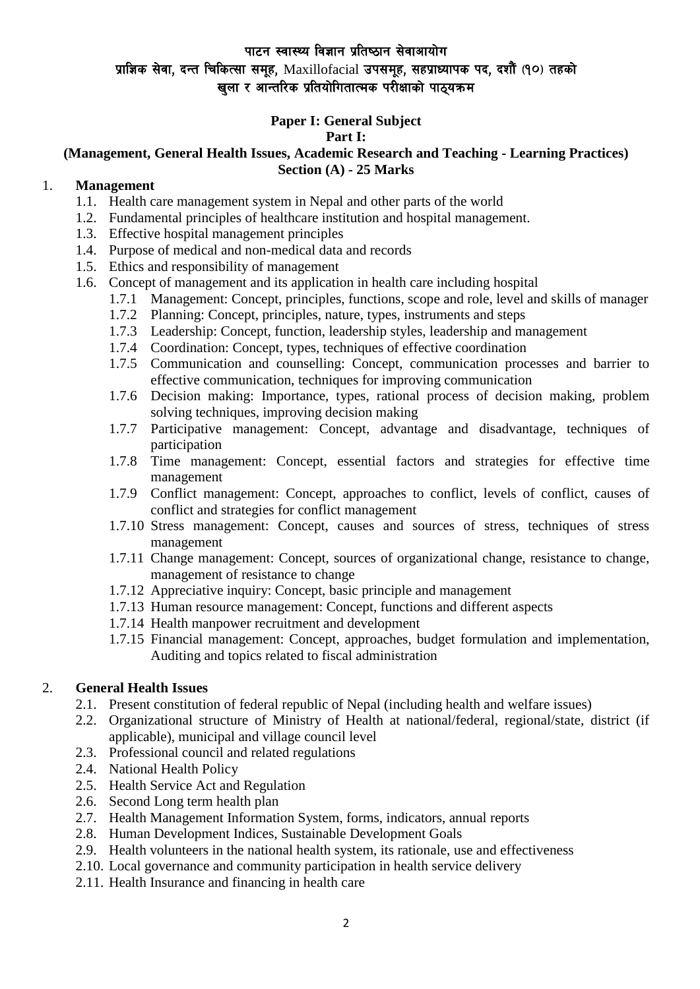### पाटन स्वास्थ्य विज्ञान प्रतिष्ठान सेवाआयोग

# प्राज्ञिक सेवा, दन्त चिकित्सा समूह, Maxillofacial उपसमूह, सहप्राध्यापक पद, दशौँ (१०) तहको खला र आन्तरिक प्रतियोगितात्मक परीक्षाको पाठयक्रम

### **Paper I: General Subject**

### **Part I:**

#### **(Management, General Health Issues, Academic Research and Teaching - Learning Practices) Section (A) - 25 Marks**

#### 1. **Management**

- 1.1. Health care management system in Nepal and other parts of the world
- 1.2. Fundamental principles of healthcare institution and hospital management.
- 1.3. Effective hospital management principles
- 1.4. Purpose of medical and non-medical data and records
- 1.5. Ethics and responsibility of management
- 1.6. Concept of management and its application in health care including hospital
	- 1.7.1 Management: Concept, principles, functions, scope and role, level and skills of manager
	- 1.7.2 Planning: Concept, principles, nature, types, instruments and steps
	- 1.7.3 Leadership: Concept, function, leadership styles, leadership and management
	- 1.7.4 Coordination: Concept, types, techniques of effective coordination
	- 1.7.5 Communication and counselling: Concept, communication processes and barrier to effective communication, techniques for improving communication
	- 1.7.6 Decision making: Importance, types, rational process of decision making, problem solving techniques, improving decision making
	- 1.7.7 Participative management: Concept, advantage and disadvantage, techniques of participation
	- 1.7.8 Time management: Concept, essential factors and strategies for effective time management
	- 1.7.9 Conflict management: Concept, approaches to conflict, levels of conflict, causes of conflict and strategies for conflict management
	- 1.7.10 Stress management: Concept, causes and sources of stress, techniques of stress management
	- 1.7.11 Change management: Concept, sources of organizational change, resistance to change, management of resistance to change
	- 1.7.12 Appreciative inquiry: Concept, basic principle and management
	- 1.7.13 Human resource management: Concept, functions and different aspects
	- 1.7.14 Health manpower recruitment and development
	- 1.7.15 Financial management: Concept, approaches, budget formulation and implementation, Auditing and topics related to fiscal administration

#### 2. **General Health Issues**

- 2.1. Present constitution of federal republic of Nepal (including health and welfare issues)
- 2.2. Organizational structure of Ministry of Health at national/federal, regional/state, district (if applicable), municipal and village council level
- 2.3. Professional council and related regulations
- 2.4. National Health Policy
- 2.5. Health Service Act and Regulation
- 2.6. Second Long term health plan
- 2.7. Health Management Information System, forms, indicators, annual reports
- 2.8. Human Development Indices, Sustainable Development Goals
- 2.9. Health volunteers in the national health system, its rationale, use and effectiveness
- 2.10. Local governance and community participation in health service delivery
- 2.11. Health Insurance and financing in health care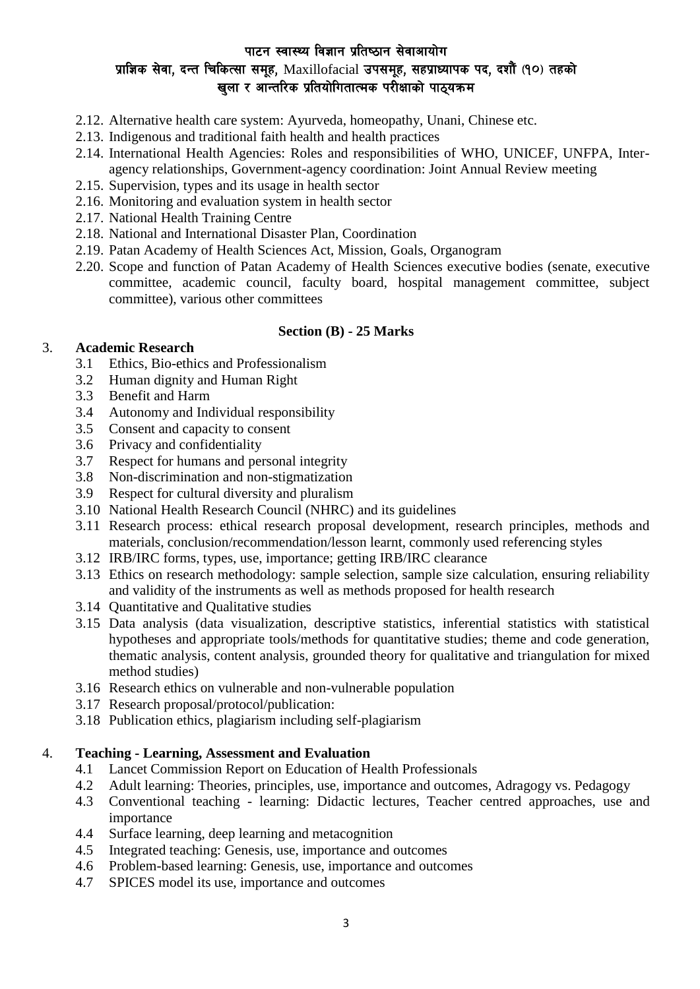### पाटन स्वास्थ्य विज्ञान प्रतिष्ठान सेवाआयोग प्राज्ञिक सेवा, दन्त चिकित्सा समूह, Maxillofacial उपसमूह, सहप्राध्यापक पद, दशौं (१०) तहको खला र आन्तरिक प्रतियोगितात्मक परीक्षाको पाठयक्रम

- 2.12. Alternative health care system: Ayurveda, homeopathy, Unani, Chinese etc.
- 2.13. Indigenous and traditional faith health and health practices
- 2.14. International Health Agencies: Roles and responsibilities of WHO, UNICEF, UNFPA, Interagency relationships, Government-agency coordination: Joint Annual Review meeting
- 2.15. Supervision, types and its usage in health sector
- 2.16. Monitoring and evaluation system in health sector
- 2.17. National Health Training Centre
- 2.18. National and International Disaster Plan, Coordination
- 2.19. Patan Academy of Health Sciences Act, Mission, Goals, Organogram
- 2.20. Scope and function of Patan Academy of Health Sciences executive bodies (senate, executive committee, academic council, faculty board, hospital management committee, subject committee), various other committees

#### **Section (B) - 25 Marks**

#### 3. **Academic Research**

- 3.1 Ethics, Bio-ethics and Professionalism
- 3.2 Human dignity and Human Right
- 3.3 Benefit and Harm
- 3.4 Autonomy and Individual responsibility
- 3.5 Consent and capacity to consent
- 3.6 Privacy and confidentiality
- 3.7 Respect for humans and personal integrity
- 3.8 Non-discrimination and non-stigmatization
- 3.9 Respect for cultural diversity and pluralism
- 3.10 National Health Research Council (NHRC) and its guidelines
- 3.11 Research process: ethical research proposal development, research principles, methods and materials, conclusion/recommendation/lesson learnt, commonly used referencing styles
- 3.12 IRB/IRC forms, types, use, importance; getting IRB/IRC clearance
- 3.13 Ethics on research methodology: sample selection, sample size calculation, ensuring reliability and validity of the instruments as well as methods proposed for health research
- 3.14 Quantitative and Qualitative studies
- 3.15 Data analysis (data visualization, descriptive statistics, inferential statistics with statistical hypotheses and appropriate tools/methods for quantitative studies; theme and code generation, thematic analysis, content analysis, grounded theory for qualitative and triangulation for mixed method studies)
- 3.16 Research ethics on vulnerable and non-vulnerable population
- 3.17 Research proposal/protocol/publication:
- 3.18 Publication ethics, plagiarism including self-plagiarism

#### 4. **Teaching - Learning, Assessment and Evaluation**

- 4.1 Lancet Commission Report on Education of Health Professionals
- 4.2 Adult learning: Theories, principles, use, importance and outcomes, Adragogy vs. Pedagogy
- 4.3 Conventional teaching learning: Didactic lectures, Teacher centred approaches, use and importance
- 4.4 Surface learning, deep learning and metacognition
- 4.5 Integrated teaching: Genesis, use, importance and outcomes
- 4.6 Problem-based learning: Genesis, use, importance and outcomes
- 4.7 SPICES model its use, importance and outcomes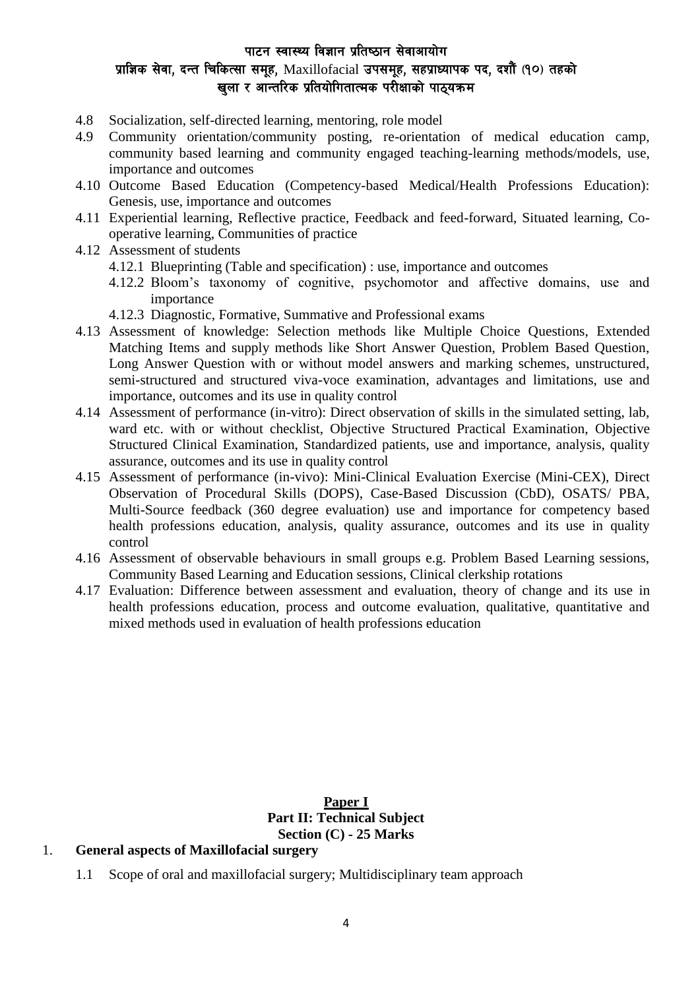### पाटन स्वास्थ्य विज्ञान प्रतिष्ठान सेवाआयोग प्राज्ञिक सेवा, दन्त चिकित्सा समूह, Maxillofacial उपसमूह, सहप्राध्यापक पद, दशौँ (१०) तहको खला र आन्तरिक प्रतियोगितात्मक परीक्षाको पाठयक्रम

- 4.8 Socialization, self-directed learning, mentoring, role model
- 4.9 Community orientation/community posting, re-orientation of medical education camp, community based learning and community engaged teaching-learning methods/models, use, importance and outcomes
- 4.10 Outcome Based Education (Competency-based Medical/Health Professions Education): Genesis, use, importance and outcomes
- 4.11 Experiential learning, Reflective practice, Feedback and feed-forward, Situated learning, Cooperative learning, Communities of practice
- 4.12 Assessment of students
	- 4.12.1 Blueprinting (Table and specification) : use, importance and outcomes
	- 4.12.2 Bloom's taxonomy of cognitive, psychomotor and affective domains, use and importance
	- 4.12.3 Diagnostic, Formative, Summative and Professional exams
- 4.13 Assessment of knowledge: Selection methods like Multiple Choice Questions, Extended Matching Items and supply methods like Short Answer Question, Problem Based Question, Long Answer Question with or without model answers and marking schemes, unstructured, semi-structured and structured viva-voce examination, advantages and limitations, use and importance, outcomes and its use in quality control
- 4.14 Assessment of performance (in-vitro): Direct observation of skills in the simulated setting, lab, ward etc. with or without checklist, Objective Structured Practical Examination, Objective Structured Clinical Examination, Standardized patients, use and importance, analysis, quality assurance, outcomes and its use in quality control
- 4.15 Assessment of performance (in-vivo): Mini-Clinical Evaluation Exercise (Mini-CEX), Direct Observation of Procedural Skills (DOPS), Case-Based Discussion (CbD), OSATS/ PBA, Multi-Source feedback (360 degree evaluation) use and importance for competency based health professions education, analysis, quality assurance, outcomes and its use in quality control
- 4.16 Assessment of observable behaviours in small groups e.g. Problem Based Learning sessions, Community Based Learning and Education sessions, Clinical clerkship rotations
- 4.17 Evaluation: Difference between assessment and evaluation, theory of change and its use in health professions education, process and outcome evaluation, qualitative, quantitative and mixed methods used in evaluation of health professions education

#### **Paper I Part II: Technical Subject Section (C) - 25 Marks**

#### 1. **General aspects of Maxillofacial surgery**

1.1 Scope of oral and maxillofacial surgery; Multidisciplinary team approach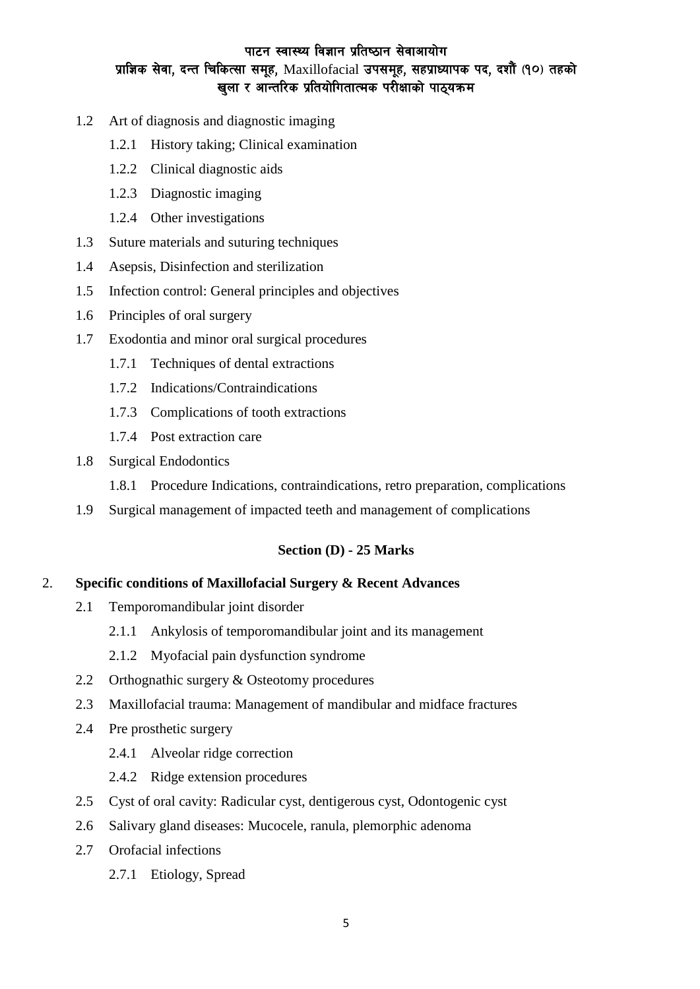### पाटन स्वास्थ्य विज्ञान प्रतिष्ठान सेवाआयोग प्राज्ञिक सेवा, दन्त चिकित्सा समूह, Maxillofacial उपसमूह, सहप्राध्यापक पद, दशौं (१०) तहको खुला र आन्तरिक प्रतियोगितात्मक परीक्षाको पाठ्यक्रम

- 1.2 Art of diagnosis and diagnostic imaging
	- 1.2.1 History taking; Clinical examination
	- 1.2.2 Clinical diagnostic aids
	- 1.2.3 Diagnostic imaging
	- 1.2.4 Other investigations
- 1.3 Suture materials and suturing techniques
- 1.4 Asepsis, Disinfection and sterilization
- 1.5 Infection control: General principles and objectives
- 1.6 Principles of oral surgery
- 1.7 Exodontia and minor oral surgical procedures
	- 1.7.1 Techniques of dental extractions
	- 1.7.2 Indications/Contraindications
	- 1.7.3 Complications of tooth extractions
	- 1.7.4 Post extraction care
- 1.8 Surgical Endodontics
	- 1.8.1 Procedure Indications, contraindications, retro preparation, complications
- 1.9 Surgical management of impacted teeth and management of complications

#### **Section (D) - 25 Marks**

#### 2. **Specific conditions of Maxillofacial Surgery & Recent Advances**

- 2.1 Temporomandibular joint disorder
	- 2.1.1 Ankylosis of temporomandibular joint and its management
	- 2.1.2 Myofacial pain dysfunction syndrome
- 2.2 Orthognathic surgery & Osteotomy procedures
- 2.3 Maxillofacial trauma: Management of mandibular and midface fractures
- 2.4 Pre prosthetic surgery
	- 2.4.1 Alveolar ridge correction
	- 2.4.2 Ridge extension procedures
- 2.5 Cyst of oral cavity: Radicular cyst, dentigerous cyst, Odontogenic cyst
- 2.6 Salivary gland diseases: Mucocele, ranula, plemorphic adenoma
- 2.7 Orofacial infections
	- 2.7.1 Etiology, Spread